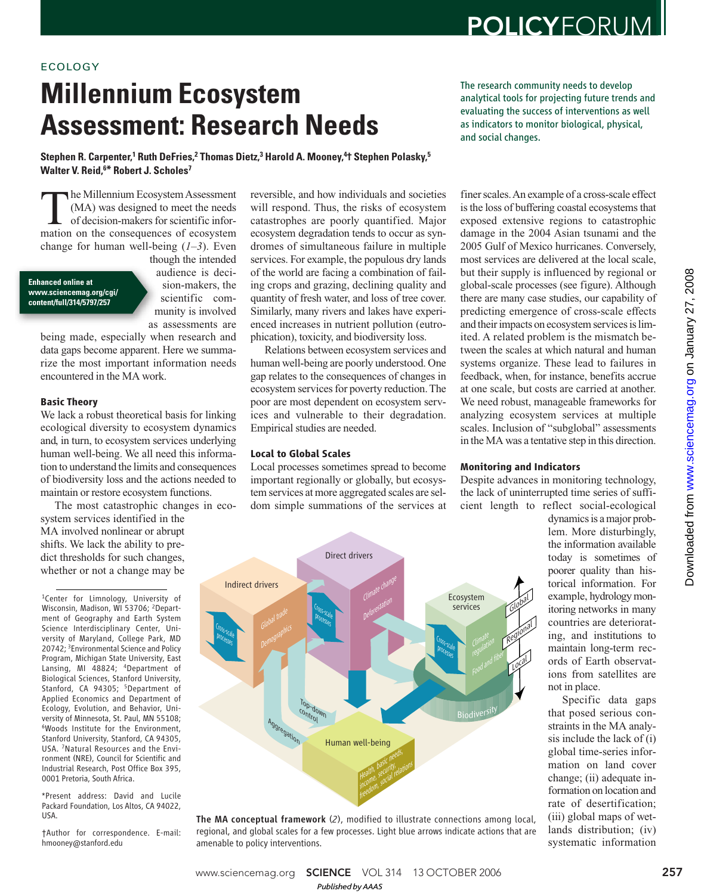# ECOLOGY

# **Millennium Ecosystem Assessment: Research Needs**

The research community needs to develop analytical tools for projecting future trends and evaluating the success of interventions as well as indicators to monitor biological, physical, and social changes.

**Stephen R. Carpenter,<sup>1</sup> Ruth DeFries,<sup>2</sup> Thomas Dietz,<sup>3</sup> Harold A. Mooney,<sup>4</sup>† Stephen Polasky,<sup>5</sup> Walter V. Reid,<sup>6</sup>\* Robert J. Scholes<sup>7</sup>**

The Millennium Ecosystem Assessment<br>
(MA) was designed to meet the needs<br>
of decision-makers for scientific infor-<br>
mation on the consequences of ecosystem he Millennium Ecosystem Assessment (MA) was designed to meet the needs of decision-makers for scientific inforchange for human well-being (*1*–*3*). Even

#### **Enhanced online at www.sciencemag.org/cgi/ content/full/314/5797/257**

though the intended audience is decision-makers, the scientific community is involved as assessments are

being made, especially when research and data gaps become apparent. Here we summarize the most important information needs encountered in the MA work.

# **Basic Theory**

We lack a robust theoretical basis for linking ecological diversity to ecosystem dynamics and, in turn, to ecosystem services underlying human well-being. We all need this information to understand the limits and consequences of biodiversity loss and the actions needed to maintain or restore ecosystem functions.

The most catastrophic changes in ecosystem services identified in the MA involved nonlinear or abrupt shifts. We lack the ability to predict thresholds for such changes, whether or not a change may be

<sup>1</sup>Center for Limnology, University of Wisconsin, Madison, WI 53706; <sup>2</sup>Department of Geography and Earth System Science Interdisciplinary Center, University of Maryland, College Park, MD 20742; <sup>3</sup>Environmental Science and Policy Program, Michigan State University, East Lansing, MI 48824; <sup>4</sup>Department of Biological Sciences, Stanford University, Stanford, CA 94305; <sup>5</sup>Department of Applied Economics and Department of Ecology, Evolution, and Behavior, University of Minnesota, St. Paul, MN 55108; <sup>6</sup>Woods Institute for the Environment, Stanford University, Stanford, CA 94305, USA. 7Natural Resources and the Environment (NRE), Council for Scientific and Industrial Research, Post Office Box 395, 0001 Pretoria, South Africa.

\*Present address: David and Lucile Packard Foundation, Los Altos, CA 94022, USA.

†Author for correspondence. E-mail: hmooney@stanford.edu

reversible, and how individuals and societies will respond. Thus, the risks of ecosystem catastrophes are poorly quantified. Major ecosystem degradation tends to occur as syndromes of simultaneous failure in multiple services. For example, the populous dry lands of the world are facing a combination of failing crops and grazing, declining quality and quantity of fresh water, and loss of tree cover. Similarly, many rivers and lakes have experienced increases in nutrient pollution (eutrophication), toxicity, and biodiversity loss.

Relations between ecosystem services and human well-being are poorly understood. One gap relates to the consequences of changes in ecosystem services for poverty reduction. The poor are most dependent on ecosystem services and vulnerable to their degradation. Empirical studies are needed.

## **Local to Global Scales**

Local processes sometimes spread to become important regionally or globally, but ecosystem services at more aggregated scales are seldom simple summations of the services at

finer scales. An example of a cross-scale effect is the loss of buffering coastal ecosystems that exposed extensive regions to catastrophic damage in the 2004 Asian tsunami and the 2005 Gulf of Mexico hurricanes. Conversely, most services are delivered at the local scale, but their supply is influenced by regional or global-scale processes (see figure). Although there are many case studies, our capability of predicting emergence of cross-scale effects and their impacts on ecosystem services is limited. A related problem is the mismatch between the scales at which natural and human systems organize. These lead to failures in feedback, when, for instance, benefits accrue at one scale, but costs are carried at another. We need robust, manageable frameworks for analyzing ecosystem services at multiple scales. Inclusion of "subglobal" assessments in the MA was a tentative step in this direction.

#### **Monitoring and Indicators**

Despite advances in monitoring technology, the lack of uninterrupted time series of sufficient length to reflect social-ecological

dynamics is a major problem. More disturbingly, the information available today is sometimes of poorer quality than historical information. For example, hydrology monitoring networks in many countries are deteriorating, and institutions to maintain long-term records of Earth observations from satellites are not in place.

Specific data gaps that posed serious constraints in the MA analysis include the lack of (i) global time-series information on land cover change; (ii) adequate information on location and rate of desertification; (iii) global maps of wetlands distribution; (iv) systematic information www.sciencemag.org [on Janu](http://www.sciencemag.org)ary 27, 2008

Downloaded from



The MA conceptual framework (*2*), modified to illustrate connections among local, regional, and global scales for a few processes. Light blue arrows indicate actions that are amenable to policy interventions.